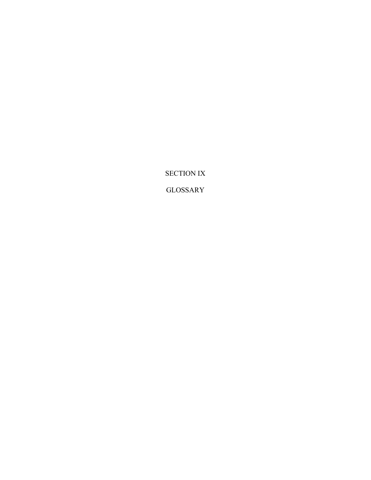SECTION IX

GLOSSARY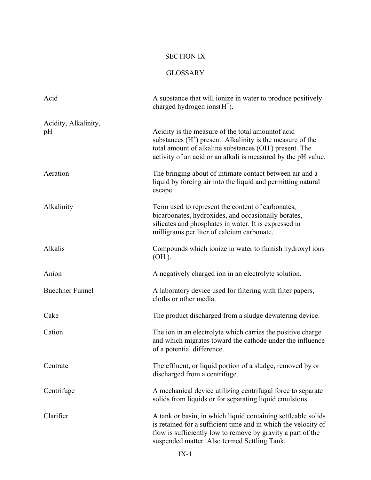## SECTION IX

## GLOSSARY

| Acid                       | A substance that will ionize in water to produce positively<br>charged hydrogen ions $(H+)$ .                                                                                                                                                  |
|----------------------------|------------------------------------------------------------------------------------------------------------------------------------------------------------------------------------------------------------------------------------------------|
| Acidity, Alkalinity,<br>pH | Acidity is the measure of the total amountof acid<br>substances $(H+)$ present. Alkalinity is the measure of the<br>total amount of alkaline substances (OH) present. The<br>activity of an acid or an alkali is measured by the pH value.     |
| Aeration                   | The bringing about of intimate contact between air and a<br>liquid by forcing air into the liquid and permitting natural<br>escape.                                                                                                            |
| Alkalinity                 | Term used to represent the content of carbonates,<br>bicarbonates, hydroxides, and occasionally borates,<br>silicates and phosphates in water. It is expressed in<br>milligrams per liter of calcium carbonate.                                |
| Alkalis                    | Compounds which ionize in water to furnish hydroxyl ions<br>$(OH1)$ .                                                                                                                                                                          |
| Anion                      | A negatively charged ion in an electrolyte solution.                                                                                                                                                                                           |
| <b>Buechner Funnel</b>     | A laboratory device used for filtering with filter papers,<br>cloths or other media.                                                                                                                                                           |
| Cake                       | The product discharged from a sludge dewatering device.                                                                                                                                                                                        |
| Cation                     | The ion in an electrolyte which carries the positive charge<br>and which migrates toward the cathode under the influence<br>of a potential difference.                                                                                         |
| Centrate                   | The effluent, or liquid portion of a sludge, removed by or<br>discharged from a centrifuge.                                                                                                                                                    |
| Centrifuge                 | A mechanical device utilizing centrifugal force to separate<br>solids from liquids or for separating liquid emulsions.                                                                                                                         |
| Clarifier                  | A tank or basin, in which liquid containing settleable solids<br>is retained for a sufficient time and in which the velocity of<br>flow is sufficiently low to remove by gravity a part of the<br>suspended matter. Also termed Settling Tank. |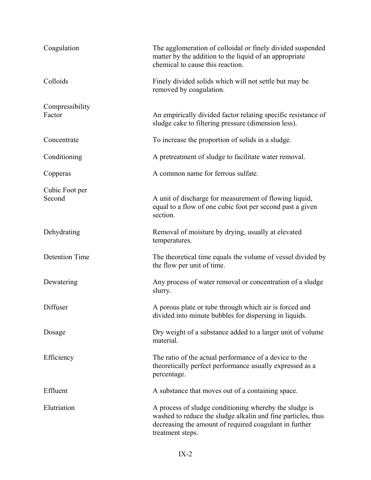| Coagulation               | The agglomeration of colloidal or finely divided suspended<br>matter by the addition to the liquid of an appropriate<br>chemical to cause this reaction.                                             |
|---------------------------|------------------------------------------------------------------------------------------------------------------------------------------------------------------------------------------------------|
| Colloids                  | Finely divided solids which will not settle but may be<br>removed by coagulation.                                                                                                                    |
| Compressibility<br>Factor | An empirically divided factor relating specific resistance of<br>sludge cake to filtering pressure (dimension less).                                                                                 |
| Concentrate               | To increase the proportion of solids in a sludge.                                                                                                                                                    |
| Conditioning              | A pretreatment of sludge to facilitate water removal.                                                                                                                                                |
| Copperas                  | A common name for ferrous sulfate.                                                                                                                                                                   |
| Cubic Foot per<br>Second  | A unit of discharge for measurement of flowing liquid,<br>equal to a flow of one cubic foot per second past a given<br>section.                                                                      |
| Dehydrating               | Removal of moisture by drying, usually at elevated<br>temperatures.                                                                                                                                  |
| <b>Detention Time</b>     | The theoretical time equals the volume of vessel divided by<br>the flow per unit of time.                                                                                                            |
| Dewatering                | Any process of water removal or concentration of a sludge<br>slurry.                                                                                                                                 |
| Diffuser                  | A porous plate or tube through which air is forced and<br>divided into minute bubbles for dispersing in liquids.                                                                                     |
| Dosage                    | Dry weight of a substance added to a larger unit of volume<br>material.                                                                                                                              |
| Efficiency                | The ratio of the actual performance of a device to the<br>theoretically perfect performance usually expressed as a<br>percentage.                                                                    |
| Effluent                  | A substance that moves out of a containing space.                                                                                                                                                    |
| Elutriation               | A process of sludge conditioning whereby the sludge is<br>washed to reduce the sludge alkalin and fine particles, thus<br>decreasing the amount of required coagulant in further<br>treatment steps. |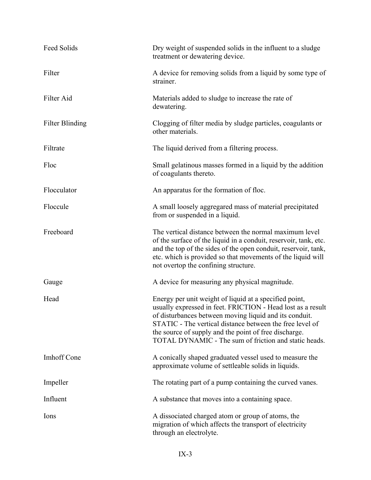| Feed Solids            | Dry weight of suspended solids in the influent to a sludge<br>treatment or dewatering device.                                                                                                                                                                                                                                                                 |
|------------------------|---------------------------------------------------------------------------------------------------------------------------------------------------------------------------------------------------------------------------------------------------------------------------------------------------------------------------------------------------------------|
| Filter                 | A device for removing solids from a liquid by some type of<br>strainer.                                                                                                                                                                                                                                                                                       |
| Filter Aid             | Materials added to sludge to increase the rate of<br>dewatering.                                                                                                                                                                                                                                                                                              |
| <b>Filter Blinding</b> | Clogging of filter media by sludge particles, coagulants or<br>other materials.                                                                                                                                                                                                                                                                               |
| Filtrate               | The liquid derived from a filtering process.                                                                                                                                                                                                                                                                                                                  |
| Floc                   | Small gelatinous masses formed in a liquid by the addition<br>of coagulants thereto.                                                                                                                                                                                                                                                                          |
| Flocculator            | An apparatus for the formation of floc.                                                                                                                                                                                                                                                                                                                       |
| Floccule               | A small loosely aggregared mass of material precipitated<br>from or suspended in a liquid.                                                                                                                                                                                                                                                                    |
| Freeboard              | The vertical distance between the normal maximum level<br>of the surface of the liquid in a conduit, reservoir, tank, etc.<br>and the top of the sides of the open conduit, reservoir, tank,<br>etc. which is provided so that movements of the liquid will<br>not overtop the confining structure.                                                           |
| Gauge                  | A device for measuring any physical magnitude.                                                                                                                                                                                                                                                                                                                |
| Head                   | Energy per unit weight of liquid at a specified point,<br>usually expressed in feet. FRICTION - Head lost as a result<br>of disturbances between moving liquid and its conduit.<br>STATIC - The vertical distance between the free level of<br>the source of supply and the point of free discharge.<br>TOTAL DYNAMIC - The sum of friction and static heads. |
| <b>Imhoff Cone</b>     | A conically shaped graduated vessel used to measure the<br>approximate volume of settleable solids in liquids.                                                                                                                                                                                                                                                |
| Impeller               | The rotating part of a pump containing the curved vanes.                                                                                                                                                                                                                                                                                                      |
| Influent               | A substance that moves into a containing space.                                                                                                                                                                                                                                                                                                               |
| Ions                   | A dissociated charged atom or group of atoms, the<br>migration of which affects the transport of electricity<br>through an electrolyte.                                                                                                                                                                                                                       |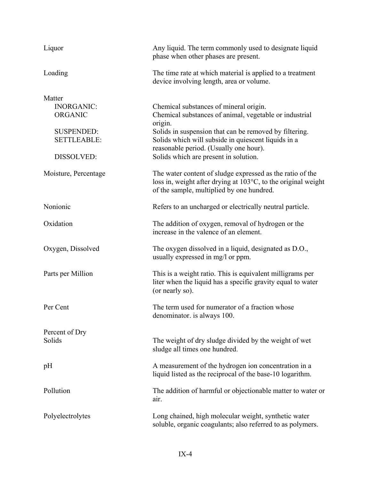| Liquor                                                                                                 | Any liquid. The term commonly used to designate liquid<br>phase when other phases are present.                                                                                                                                                                                                                  |
|--------------------------------------------------------------------------------------------------------|-----------------------------------------------------------------------------------------------------------------------------------------------------------------------------------------------------------------------------------------------------------------------------------------------------------------|
| Loading                                                                                                | The time rate at which material is applied to a treatment<br>device involving length, area or volume.                                                                                                                                                                                                           |
| Matter<br><b>INORGANIC:</b><br><b>ORGANIC</b><br><b>SUSPENDED:</b><br><b>SETTLEABLE:</b><br>DISSOLVED: | Chemical substances of mineral origin.<br>Chemical substances of animal, vegetable or industrial<br>origin.<br>Solids in suspension that can be removed by filtering.<br>Solids which will subside in quiescent liquids in a<br>reasonable period. (Usually one hour).<br>Solids which are present in solution. |
| Moisture, Percentage                                                                                   | The water content of sludge expressed as the ratio of the<br>loss in, weight after drying at $103^{\circ}$ C, to the original weight<br>of the sample, multiplied by one hundred.                                                                                                                               |
| Nonionic                                                                                               | Refers to an uncharged or electrically neutral particle.                                                                                                                                                                                                                                                        |
| Oxidation                                                                                              | The addition of oxygen, removal of hydrogen or the<br>increase in the valence of an element.                                                                                                                                                                                                                    |
| Oxygen, Dissolved                                                                                      | The oxygen dissolved in a liquid, designated as D.O.,<br>usually expressed in mg/l or ppm.                                                                                                                                                                                                                      |
| Parts per Million                                                                                      | This is a weight ratio. This is equivalent milligrams per<br>liter when the liquid has a specific gravity equal to water<br>(or nearly so).                                                                                                                                                                     |
| Per Cent                                                                                               | The term used for numerator of a fraction whose<br>denominator. is always 100.                                                                                                                                                                                                                                  |
| Percent of Dry<br>Solids                                                                               | The weight of dry sludge divided by the weight of wet<br>sludge all times one hundred.                                                                                                                                                                                                                          |
| pH                                                                                                     | A measurement of the hydrogen ion concentration in a<br>liquid listed as the reciprocal of the base-10 logarithm.                                                                                                                                                                                               |
| Pollution                                                                                              | The addition of harmful or objectionable matter to water or<br>air.                                                                                                                                                                                                                                             |
| Polyelectrolytes                                                                                       | Long chained, high molecular weight, synthetic water<br>soluble, organic coagulants; also referred to as polymers.                                                                                                                                                                                              |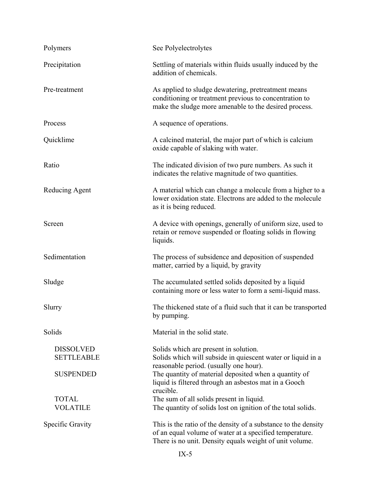| Polymers                              | See Polyelectrolytes                                                                                                                                                                 |
|---------------------------------------|--------------------------------------------------------------------------------------------------------------------------------------------------------------------------------------|
| Precipitation                         | Settling of materials within fluids usually induced by the<br>addition of chemicals.                                                                                                 |
| Pre-treatment                         | As applied to sludge dewatering, pretreatment means<br>conditioning or treatment previous to concentration to<br>make the sludge more amenable to the desired process.               |
| Process                               | A sequence of operations.                                                                                                                                                            |
| Quicklime                             | A calcined material, the major part of which is calcium<br>oxide capable of slaking with water.                                                                                      |
| Ratio                                 | The indicated division of two pure numbers. As such it<br>indicates the relative magnitude of two quantities.                                                                        |
| Reducing Agent                        | A material which can change a molecule from a higher to a<br>lower oxidation state. Electrons are added to the molecule<br>as it is being reduced.                                   |
| Screen                                | A device with openings, generally of uniform size, used to<br>retain or remove suspended or floating solids in flowing<br>liquids.                                                   |
| Sedimentation                         | The process of subsidence and deposition of suspended<br>matter, carried by a liquid, by gravity                                                                                     |
| Sludge                                | The accumulated settled solids deposited by a liquid<br>containing more or less water to form a semi-liquid mass.                                                                    |
| Slurry                                | The thickened state of a fluid such that it can be transported<br>by pumping.                                                                                                        |
| Solids                                | Material in the solid state.                                                                                                                                                         |
| <b>DISSOLVED</b><br><b>SETTLEABLE</b> | Solids which are present in solution.<br>Solids which will subside in quiescent water or liquid in a<br>reasonable period. (usually one hour).                                       |
| <b>SUSPENDED</b>                      | The quantity of material deposited when a quantity of<br>liquid is filtered through an asbestos mat in a Gooch<br>crucible.                                                          |
| <b>TOTAL</b><br><b>VOLATILE</b>       | The sum of all solids present in liquid.<br>The quantity of solids lost on ignition of the total solids.                                                                             |
| Specific Gravity                      | This is the ratio of the density of a substance to the density<br>of an equal volume of water at a specified temperature.<br>There is no unit. Density equals weight of unit volume. |